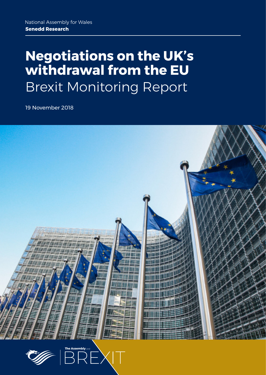## **Negotiations on the UK's withdrawal from the EU** Brexit Monitoring Report

19 November 2018



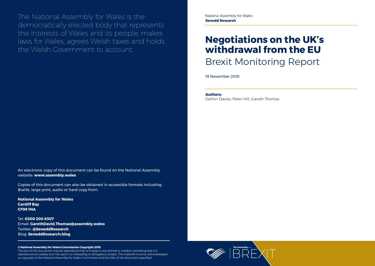

The National Assembly for Wales is the democratically elected body that represents the interests of Wales and its people, makes laws for Wales, agrees Welsh taxes and holds the Welsh Government to account.

#### **© National Assembly for Wales Commission Copyright 2018**

The text of this document may be reproduced free of charge in any format or medium providing that it is reproduced accurately and not used in a misleading or derogatory context. The material must be acknowledged as copyright of the National Assembly for Wales Commission and the title of the document specified.

## **Negotiations on the UK's withdrawal from the EU** Brexit Monitoring Report

19 November 2018

An electronic copy of this document can be found on the National Assembly website: **www.assembly.wales**

Copies of this document can also be obtained in accessible formats including Braille, large print, audio or hard copy from:

**National Assembly for Wales Cardiff Bay CF99 1NA**

Tel: **0300 200 6307** Email: **[GarethDavid.Thomas@assembly.wales](mailto:GarethDavid.Thomas%40assembly.wales?subject=)** Twitter: **[@SeneddResearch](http://www.twitter.com/@SeneddResearch)** Blog: **[SeneddResearch.blog](http://SeneddResearch.blog)**

#### **Authors:**

Gethin Davies, Peter Hill, Gareth Thomas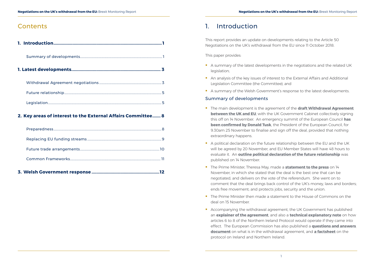#### **Contents**

#### **2. [Key areas of interest to the External Affairs Committee.......](#page-6-0) 8**

**3. Welsh Government response [.........................................................12](#page-8-0)**

### 1. Introduction

This report provides an update on developments relating to the Article 50 Negotiations on the UK's withdrawal from the EU since 11 October 2018.

This paper provides:

- A summary of the latest developments in the negotiations and the related UK legislation;
- An analysis of the key issues of interest to the External Affairs and Additional Legislation Committee (the Committee); and
- A summary of the Welsh Government's response to the latest developments.

- **The main development is the agreement of the draft Withdrawal Agreement [between the UK and EU](https://assets.publishing.service.gov.uk/government/uploads/system/uploads/attachment_data/file/756374/14_November_Draft_Agreement_on_the_Withdrawal_of_the_United_Kingdom_of_Great_Britain_and_Northern_Ireland_from_the_European_Union.pdf)**, with the UK Government Cabinet collectively signing this off on 14 November. An emergency summit of the European Council **[has](https://www.consilium.europa.eu/en/press/press-releases/2018/11/15/remarks-by-president-donald-tusk-after-his-meeting-with-brexit-eu-chief-negotiator-michel-barnier/)  [been confirmed by Donald Tusk](https://www.consilium.europa.eu/en/press/press-releases/2018/11/15/remarks-by-president-donald-tusk-after-his-meeting-with-brexit-eu-chief-negotiator-michel-barnier/)**, the President of the European Council, for 9.30am 25 November to finalise and sign off the deal, provided that nothing extraordinary happens.
- A political declaration on the future relationship between the EU and the UK will be agreed by 20 November, and EU Member States will have 48 hours to evaluate it. An **[outline political declaration of the future relationship](https://assets.publishing.service.gov.uk/government/uploads/system/uploads/attachment_data/file/756378/14_November_Outline_Political_Declaration_on_the_Future_Relationship.pdf)** was published on 14 November.
- **The Prime Minister, Theresa May, made a [statement to the press](https://www.gov.uk/government/speeches/pms-statement-on-brexit-14-november-2018)** on 14 November, in which she stated that the deal is the best one that can be negotiated, and delivers on the vote of the referendum. She went on to comment that the deal brings back control of the UK's money, laws and borders; ends free movement; and protects jobs, security and the union.
- **The Prime Minister then made a statement to the House of Commons on the** deal on 15 November.
- Accompanying the withdrawal agreement, the UK Government has published an **[explainer of the agreement](https://assets.publishing.service.gov.uk/government/uploads/system/uploads/attachment_data/file/756376/14_November_Explainer_for_the_agreement_on_the_withdrawal_of_the_United_Kingdom_of_Great_Britain_and_Northern_Ireland_from_the_European_Union___1_.pdf)**, and also a **[technical explanatory note](https://assets.publishing.service.gov.uk/government/uploads/system/uploads/attachment_data/file/756375/14_November_Technical_Explanatory_Note_Arts_6-8_Northern_Ireland_Protocol.pdf)** on how articles 6 to 8 of the Northern Ireland Protocol would operate if they came into effect. The European Commission has also published a **[questions and answers](http://europa.eu/rapid/press-release_MEMO-18-6422_en.htm)  [document](http://europa.eu/rapid/press-release_MEMO-18-6422_en.htm)** on what is in the withdrawal agreement, and **[a factsheet](http://europa.eu/rapid/press-release_MEMO-18-6423_en.htm)** on the protocol on Ireland and Northern Ireland.

#### Summary of developments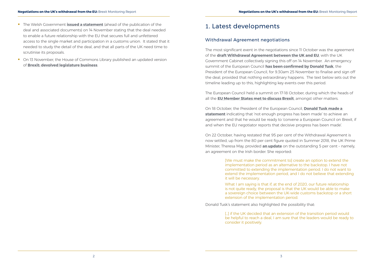- <span id="page-3-0"></span>**The Welsh Government [issued a statement](https://twitter.com/WelshGovernment?ref_src=twsrc%5Egoogle%7Ctwcamp%5Eserp%7Ctwgr%5Eauthor)** (ahead of the publication of the deal and associated documents) on 14 November stating that the deal needed to enable a future relationship with the EU that secures full and unfettered access to the single market and participation in a customs union. It stated that it needed to study the detail of the deal, and that all parts of the UK need time to scrutinise its proposals.
- On 13 November, the House of Commons Library published an updated version of **Brexit: devolved legislature business**.

#### 1. Latest developments

#### Withdrawal Agreement negotiations

The most significant event in the negotiations since 11 October was the agreement of the **[draft Withdrawal Agreement between the UK and EU](https://assets.publishing.service.gov.uk/government/uploads/system/uploads/attachment_data/file/756374/14_November_Draft_Agreement_on_the_Withdrawal_of_the_United_Kingdom_of_Great_Britain_and_Northern_Ireland_from_the_European_Union.pdf)**, with the UK Government Cabinet collectively signing this off on 14 November. An emergency summit of the European Council **[has been confirmed by Donald Tusk](https://www.consilium.europa.eu/en/press/press-releases/2018/11/15/remarks-by-president-donald-tusk-after-his-meeting-with-brexit-eu-chief-negotiator-michel-barnier/)**, the President of the European Council, for 9.30am 25 November to finalise and sign off the deal, provided that nothing extraordinary happens. The text below sets out the timeline leading up to this, highlighting key events over this period.

The European Council held a summit on 17-18 October, during which the heads of all the **[EU Member States met to discuss Brexit](https://www.consilium.europa.eu/en/meetings/european-council/2018/10/18/)**, amongst other matters.

> [...] if the UK decided that an extension of the transition period would be helpful to reach a deal, I am sure that the leaders would be ready to consider it positively.

On 18 October, the President of the European Council, **[Donald Tusk made a](https://www.consilium.europa.eu/en/press/press-releases/2018/10/18/remarks-by-president-donald-tusk-after-the-european-council-meetings-on-17-and-18-october-2018/)  [statement](https://www.consilium.europa.eu/en/press/press-releases/2018/10/18/remarks-by-president-donald-tusk-after-the-european-council-meetings-on-17-and-18-october-2018/)** indicating that 'not enough progress has been made' to achieve an agreement and that he would be ready to 'convene a European Council on Brexit, if and when the EU negotiator reports that decisive progress has been made'.

On 22 October, having restated that 95 per cent of the Withdrawal Agreement is now settled, up from the 80 per cent figure quoted in Summer 2018, the UK Prime Minister, Theresa May, provided **[an update](https://hansard.parliament.uk/Commons/2018-10-22/debates/92803368-83B2-4DAC-8538-7759D29A9E8C/OctoberEUCouncil)** on the outstanding 5 per cent – namely, an agreement on the Irish border. She reported:

> [We must make the commitment to] create an option to extend the implementation period as an alternative to the backstop. I have not committed to extending the implementation period. I do not want to extend the implementation period, and I do not believe that extending it will be necessary.

What I am saying is that if, at the end of 2020, our future relationship is not quite ready, the proposal is that the UK would be able to make a sovereign choice between the UK-wide customs backstop or a short extension of the implementation period.

Donald Tusk's statement also highlighted the possibility that: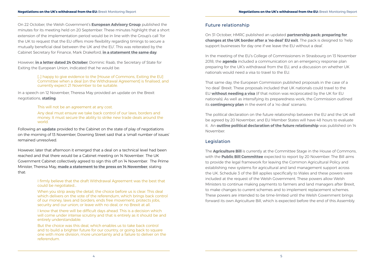<span id="page-4-0"></span>On 22 October, the Welsh Government's **[European Advisory Group](https://beta.gov.wales/european-advisory-group)** published the minutes for its meeting held on 20 September. These minutes highlight that a short extension of the implementation period would be in line with the Group's call 'for the UK to request that the EU offers more flexibility regarding timings to secure a mutually beneficial deal between the UK and the EU'. This was reiterated by the Cabinet Secretary for Finance, Mark Drakeford, **[in a statement the same day](https://gov.wales/about/cabinet/cabinetstatements/2018/eunegotiationsupdate/?lang=en)**.

> [...] happy to give evidence to the [House of Commons, Exiting the EU] Committee when a deal [on the Withdrawal Agreement] is finalised, and currently expect 21 November to be suitable.

However, **[in a letter dated 24 October](https://www.parliament.uk/documents/commons-committees/Exiting-the-European-Union/17-19/Correspondence/2018-10-24-SoS-to-Chair-17-19.pdf)**, Dominic Raab, the Secretary of State for Exiting the European Union, indicated that he would be:

In a speech on 12 November, Theresa May provided an update on the Brexit negotiations, **[stating](https://www.gov.uk/government/speeches/pm-speech-to-the-lord-mayors-banquet-12-november-2018)**:

This will not be an agreement at any cost.

Any deal must ensure we take back control of our laws, borders and money. It must secure the ability to strike new trade deals around the world.

Following an **[update](https://www.bbc.co.uk/news/uk-politics-46188790)** provided to the Cabinet on the state of play of negotiations on the morning of 13 November, Downing Street said that a 'small number of issues' remained unresolved.

However, later that afternoon it emerged that a deal on a technical level had been reached and that there would be a Cabinet meeting on 14 November.The UK Government Cabinet collectively agreed to sign this off on 14 November. The Prime Minister, Theresa May, **[made a statement to the press on 14 November](https://www.gov.uk/government/speeches/pms-statement-on-brexit-14-november-2018)**, stating that:

> I firmly believe that the draft Withdrawal Agreement was the best that could be negotiated…

When you strip away the detail, the choice before us is clear. This deal which delivers on the vote of the referendum, which brings back control of our money, laws and borders; ends free movement; protects jobs, security and our union; or leave with no deal; or no Brexit at all.

I know that there will be difficult days ahead. This is a decision which will come under intense scrutiny and that is entirely as it should be and entirely understandable.

But the choice was this deal, which enables us to take back control and to build a brighter future for our country, or going back to square one with more division, more uncertainty and a failure to deliver on the referendum.

#### Future relationship

On 31 October, HMRC published an updated **[partnership pack: preparing for](https://www.gov.uk/government/publications/partnership-pack-preparing-for-a-no-deal-eu-exit)  [changes at the UK border after a 'no deal' EU exit](https://www.gov.uk/government/publications/partnership-pack-preparing-for-a-no-deal-eu-exit)**. The pack is designed to 'help support businesses for day one if we leave the EU without a deal'.

In the meeting of the EU's College of Commissioners in Strasbourg on 13 November 2018, the **[agenda](http://ec.europa.eu/transparency/regdoc/rep/10060/2018/FR/OJ-2018-2272-F1-FR-MAIN-PART-1.PDF?utm_source=POLITICO.EU&utm_campaign=a6acca9c80-EMAIL_CAMPAIGN_2018_11_13_05_42&utm_medium=email&utm_term=0_10959edeb5-a6acca9c80-190365317)** included a communication on an emergency response plan preparing for the UK's withdrawal from the EU, and a discussion on whether UK nationals would need a visa to travel to the EU.

That same day, the European Commission published proposals in the case of a 'no deal' Brexit. These proposals included that UK nationals could travel to the EU **[without needing a visa](http://europa.eu/rapid/press-release_IP-18-6402_en.htm?utm_source=POLITICO.EU&utm_campaign=36c28c1784-EMAIL_CAMPAIGN_2018_11_14_02_15&utm_medium=email&utm_term=0_10959edeb5-36c28c1784-190365317)** (if that notion was reciprocated by the UK for EU nationals). As well as intensifying its preparedness work, the Commission outlined its **[contingency plan](http://europa.eu/rapid/press-release_IP-18-6403_en.htm)** in the event of a 'no deal' scenario.

The political declaration on the future relationship between the EU and the UK will be agreed by 20 November, and EU Member States will have 48 hours to evaluate it. An **[outline political declaration of the future relationship](https://assets.publishing.service.gov.uk/government/uploads/system/uploads/attachment_data/file/756378/14_November_Outline_Political_Declaration_on_the_Future_Relationship.pdf)** was published on 14 November.

#### Legislation

The **[Agriculture Bill](https://services.parliament.uk/bills/2017-19/agriculture.html)** is currently at the Committee Stage in the House of Commons, with the **[Public Bill Committee](https://services.parliament.uk/Bills/2017-19/agriculture/committees/houseofcommonspublicbillcommitteeontheagriculturebill201719.html)** expected to report by 20 November. The Bill aims to provide the legal framework for leaving the Common Agricultural Policy and establishing new systems for agricultural and land management support across the UK. Schedule 3 of the Bill applies specifically to Wales and these powers were included at the request of the Welsh Government. These powers allow Welsh Ministers to continue making payments to farmers and land managers after Brexit, to make changes to current schemes and to implement replacement schemes. These powers are intended to be time-limited until the Welsh Government brings forward its own Agriculture Bill, which is expected before the end of this Assembly.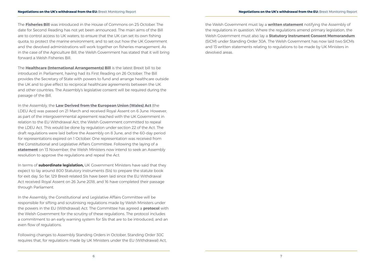The **[Fisheries Bill](https://services.parliament.uk/bills/2017-19/fisheries.html)** was introduced in the House of Commons on 25 October. The date for Second Reading has not yet been announced. The main aims of the Bill are to control access to UK waters; to ensure that the UK can set its own fishing quota; to protect the marine environment; and to set out how the UK Government and the devolved administrations will work together on fisheries management. As in the case of the Agriculture Bill, the Welsh Government has stated that it will bring forward a Welsh Fisheries Bill.

The **[Healthcare \(International Arrangements\) Bill](https://services.parliament.uk/bills/2017-19/healthcareinternationalarrangements.html)** is the latest Brexit bill to be introduced in Parliament, having had its First Reading on 26 October. The Bill provides the Secretary of State with powers to fund and arrange healthcare outside the UK and to give effect to reciprocal healthcare agreements between the UK and other countries. The Assembly's legislative consent will be required during the passage of the Bill.

In the Assembly, the **[Law Derived from the European Union \(Wales\) Act](http://senedd.assembly.wales/mgIssueHistoryHome.aspx?IId=21280)** (the LDEU Act) was passed on 21 March and received Royal Assent on 6 June. However, as part of the intergovernmental agreement reached with the UK Government in relation to the EU Withdrawal Act, the Welsh Government committed to repeal the LDEU Act. This would be done by regulation under section 22 of the Act. The draft regulations were laid before the Assembly on 8 June, and the 60-day period for representations expired on 1 October. One representation was received from the Constitutional and Legislative Affairs Committee. Following the laying of a **[statement](https://gov.wales/about/cabinet/cabinetstatements/2018/59953026/?lang=en)** on 13 November, the Welsh Ministers now intend to seek an Assembly resolution to approve the regulations and repeal the Act.

In terms of **subordinate legislation,** UK Government Ministers have said that they expect to lay around 800 Statutory Instruments (SIs) to prepare the statute book for exit day. So far, 129 Brexit-related SIs have been laid since the EU Withdrawal Act received Royal Assent on 26 June 2018, and 16 have completed their passage through Parliament.

In the Assembly, the Constitutional and Legislative Affairs Committee will be responsible for sifting and scrutinising regulations made by Welsh Ministers under the powers in the EU (Withdrawal) Act. The Committee has agreed a **[protocol](http://www.senedd.assembly.wales/documents/s80117/Protocol%20-%20October%202018.pdf)** with the Welsh Government for the scrutiny of these regulations. The protocol includes a commitment to an early warning system for SIs that are to be introduced, and an even flow of regulations.

Following changes to Assembly Standing Orders in October, Standing Order 30C requires that, for regulations made by UK Ministers under the EU (Withdrawal) Act, the Welsh Government must lay a **[written statement](http://senedd.assembly.wales/mgIssueHistoryHome.aspx?IId=23211)** notifying the Assembly of the regulations in question. Where the regulations amend primary legislation, the Welsh Government must also lay a **[Statutory Instrument Consent Memorandum](http://senedd.assembly.wales/mgIssueHistoryHome.aspx?IId=20457)** (SICM) under Standing Order 30A. The Welsh Government has now laid two SICMs and 13 written statements relating to regulations to be made by UK Ministers in devolved areas.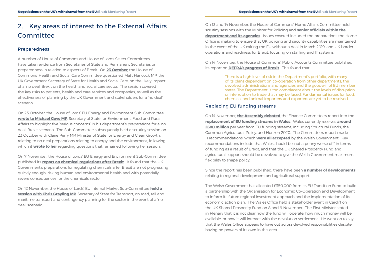## <span id="page-6-0"></span>2. Key areas of interest to the External Affairs Committee

#### Preparedness

A number of House of Commons and House of Lords Select Committees have taken evidence from Secretaries of State and Permanent Secretaries on preparedness in relation to aspects of Brexit. On **[23 October](http://data.parliament.uk/writtenevidence/committeeevidence.svc/evidencedocument/health-and-social-care-committee/impact-of-a-no-deal-brexit-on-health-and-social-care/oral/92043.html)**, the House of Commons' Health and Social Care Committee questioned Matt Hancock MP, the UK Government Secretary of State for Health and Social Care, on the likely impact of a 'no deal' Brexit on the health and social care sector. The session covered the key risks to patients, health and care services and companies, as well as the effectiveness of planning by the UK Government and stakeholders for a 'no deal' scenario.

On 23 October, the House of Lords' EU Energy and Environment Sub-Committee **[wrote to Michael Gove MP](https://www.parliament.uk/business/committees/committees-a-z/lords-select/eu-energy-environment-subcommittee/news-parliament-2017/defra-no-deal-concerns/)**, Secretary of State for Environment, Food and Rural Affairs to highlight five 'serious concerns' in his department's preparations for a 'no deal' Brexit scenario. The Sub-Committee subsequently held a scrutiny session on 23 October with Claire Perry MP, Minister of State for Energy and Clean Growth, relating to no deal preparations relating to energy and the environment, following which it **[wrote to her](https://www.parliament.uk/business/committees/committees-a-z/lords-select/eu-energy-environment-subcommittee/news-parliament-2017/letter-energy-climate-no-deal/)** regarding questions that remained following her session.

On 7 November, the House of Lords' EU Energy and Environment Sub-Committee published its **[report on chemical regulations after Brexit](https://www.parliament.uk/business/committees/committees-a-z/lords-select/eu-energy-environment-subcommittee/news-parliament-2017/brexit-chemical-regulations-report/)**. It found that the UK Government's preparations for regulating chemicals after Brexit are not progressing quickly enough, risking human and environmental health and with potentially severe consequences for the chemicals sector.

On 12 November, the House of Lords' EU Internal Market Sub-Committee **[held a](https://www.parliament.uk/business/committees/committees-a-z/lords-select/eu-internal-market-subcommittee/news-parliament-2017/future-uk-eu-transport-chirs-grayling/)  [session with Chris Grayling MP](https://www.parliament.uk/business/committees/committees-a-z/lords-select/eu-internal-market-subcommittee/news-parliament-2017/future-uk-eu-transport-chirs-grayling/)**, Secretary of State for Transport, on road, rail and maritime transport and contingency planning for the sector in the event of a 'no deal' scenario.

On 13 and 14 November, the House of Commons' Home Affairs Committee held scrutiny sessions with the Minister for Policing and **[senior officials within the](https://www.parliament.uk/business/committees/committees-a-z/commons-select/home-affairs-committee/news-parliament-2017/work-of-home-office-evidence-17-19/)  [department and its agencies](https://www.parliament.uk/business/committees/committees-a-z/commons-select/home-affairs-committee/news-parliament-2017/work-of-home-office-evidence-17-19/)**. Issues covered included the preparations the Home Office is making to ensure that UK policing and security capabilities are maintained in the event of the UK exiting the EU without a deal in March 2019; and UK border operations and readiness for Brexit, focusing on staffing and IT systems.

On 14 November, the House of Commons' Public Accounts Committee published its report on **[DEFRA's progress of Brexit](https://publications.parliament.uk/pa/cm201719/cmselect/cmpubacc/1514/151402.htm)**. This found that:

> There is a high level of risk in the Department's portfolio, with many of its plans dependent on co-operation from other departments, the devolved administrations and agencies and the goodwill of EU member states. The Department is too complacent about the levels of disruption or interruption to trade that may be faced. Fundamental issues for food, chemical and animal importers and exporters are yet to be resolved.

#### Replacing EU funding streams

On 14 November, **the Assembly debated** the Finance Committee's report into the **[replacement of EU funding streams in Wales](http://www.assembly.wales/laid%20documents/cr-ld11748/cr-ld11748-e.pdf)**. Wales currently receives **[around](https://seneddresearch.blog/2018/09/25/replacing-eu-funding-streams-the-case-for-future-funding-for-wales/)  [£680 million](https://seneddresearch.blog/2018/09/25/replacing-eu-funding-streams-the-case-for-future-funding-for-wales/)** per year from EU funding streams, including Structural Funds, the Common Agricultural Policy, and Horizon 2020. The Committee's report made 11 recommendations, which **[were all accepted](http://www.assembly.wales/laid%20documents/gen-ld11815/gen-ld11815-e.pdf)** by the Welsh Government. Key recommendations include that Wales should be 'not a penny worse off' in terms of funding as a result of Brexit, and that the UK Shared Prosperity Fund and agricultural support should be devolved to give the Welsh Government maximum flexibility to shape policy.

Since the report has been published, there have been **[a number of developments](https://seneddresearch.blog/2018/11/09/assembly-to-debate-finance-committee-report-on-replacing-eu-funding-in-wales/)** relating to regional development and agricultural support.

The Welsh Government has allocated £350,000 from its EU Transition Fund to build a partnership with the Organisation for Economic Co-Operation and Development to inform its future regional investment approach and the implementation of its economic action plan. The Wales Office held a stakeholder event in Cardiff on the UK Shared Prosperity Fund on 8 and 9 November. The First Minister stated in Plenary that it is not clear how the fund will operate, how much money will be available, or how it will interact with the devolution settlement. He went on to say that the Wales Office appears to have cut across devolved responsibilities despite having no powers of its own in this area.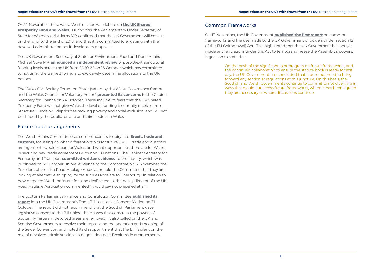<span id="page-7-0"></span>On 14 November, there was a Westminster Hall debate on **[the UK Shared](https://hansard.parliament.uk/commons/2018-11-14/debates/13734378-A7FF-434B-B553-8BCC07242223/SharedProsperityFundWales)  [Prosperity Fund and Wales](https://hansard.parliament.uk/commons/2018-11-14/debates/13734378-A7FF-434B-B553-8BCC07242223/SharedProsperityFundWales)**. During this, the Parliamentary Under-Secretary of State for Wales, Nigel Adams MP, confirmed that the UK Government will consult on the fund by the end of 2018, and that it is committed to engaging with the devolved administrations as it develops its proposals.

The UK Government Secretary of State for Environment, Food and Rural Affairs, Michael Gove MP, **[announced an independent review](https://www.gov.uk/government/news/fair-funding-for-farmers-across-all-parts-of-the-uk)** of post-Brexit agricultural funding levels across the UK from 2020-22 on 16 October, which has committed to not using the Barnett formula to exclusively determine allocations to the UK nations.

The Wales Civil Society Forum on Brexit (set up by the Wales Governance Centre and the Wales Council for Voluntary Action) **[presented its concerns](http://sites.cardiff.ac.uk/wgc/2018/10/24/welsh-third-sectors-brexit-asks-shared-with-welsh-government/)** to the Cabinet Secretary for Finance on 24 October. These include its fears that the UK Shared Prosperity Fund will not give Wales the level of funding it currently receives from Structural Funds, will deprioritise tackling poverty and social exclusion, and will not be shaped by the public, private and third sectors in Wales.

#### Future trade arrangements

The Welsh Affairs Committee has commenced its inquiry into **[Brexit, trade and](https://www.parliament.uk/business/committees/committees-a-z/commons-select/welsh-affairs-committee/inquiries/parliament-2017/brexit-trade-customs-17-19/)  [customs](https://www.parliament.uk/business/committees/committees-a-z/commons-select/welsh-affairs-committee/inquiries/parliament-2017/brexit-trade-customs-17-19/)**, focussing on what different options for future UK-EU trade and customs arrangements would mean for Wales, and what opportunities there are for Wales in securing new trade agreements with non-EU nations. The Cabinet Secretary for Economy and Transport **[submitted written evidence](http://data.parliament.uk/writtenevidence/committeeevidence.svc/evidencedocument/welsh-affairs-committee/brexit-trade-and-customs-implications-for-wales/written/91632.html)** to the inquiry, which was published on 30 October. In oral evidence to the Committee on 12 November, the President of the Irish Road Haulage Association told the Committee that they are looking at alternative shipping routes such as Rosslare to Cherbourg. In relation to how prepared Welsh ports are for a 'no deal' scenario, the policy director of the UK Road Haulage Association commented 'I would say not prepared at all'.

The Scottish Parliament's Finance and Constitution Committee **[published its](https://sp-bpr-en-prod-cdnep.azureedge.net/published/FCC/2018/10/31/Report-on-Trade-Bill-LCM/FCC-S5-18-11.pdf)  [report](https://sp-bpr-en-prod-cdnep.azureedge.net/published/FCC/2018/10/31/Report-on-Trade-Bill-LCM/FCC-S5-18-11.pdf)** into the UK Government's Trade Bill Legislative Consent Motion on 31 October. The report did not recommend that the Scottish Parliament gave legislative consent to the Bill unless the clauses that constrain the powers of Scottish Ministers in devolved areas are removed. It also called on the UK and Scottish Governments to resolve their impasse on the operation and meaning of the Sewel Convention, and noted its disappointment that the Bill is silent on the role of devolved administrations in negotiating post-Brexit trade arrangements.

#### Common Frameworks

On 13 November, the UK Government **[published the first report](https://www.gov.uk/government/publications/the-european-union-withdrawal-act-and-common-frameworks-report)** on common frameworks and the use made by the UK Government of powers under section 12 of the EU (Withdrawal) Act. This highlighted that the UK Government has not yet made any regulations under this Act to temporarily freeze the Assembly's powers. It goes on to state that:

> On the basis of the significant joint progress on future frameworks, and the continued collaboration to ensure the statute book is ready for exit day, the UK Government has concluded that it does not need to bring forward any section 12 regulations at this juncture. On this basis, the Scottish and Welsh Governments continue to commit to not diverging in ways that would cut across future frameworks, where it has been agreed they are necessary or where discussions continue.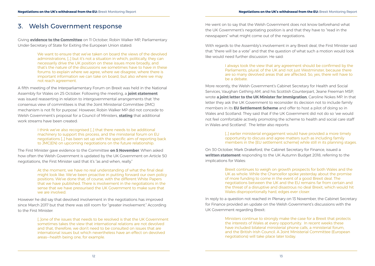#### <span id="page-8-0"></span>3. Welsh Government response

Giving **evidence to the Committee** on 11 October, Robin Walker MP, Parliamentary Under-Secretary of State for Exiting the European Union stated:

> We want to ensure that we've taken on board the views of the devolved administrations, […] but it's not a situation in which, politically, they can necessarily drive the UK position on these issues more broadly, and that's the nature of the discussions we sometimes have to have in these forums: to explain where we agree, where we disagree, where there is important information we can take on board, but also where we may not reach agreement.

A fifth meeting of the Interparliamentary Forum on Brexit was held in the National Assembly for Wales on 25 October. Following the meeting, a **[joint statement](http://senedd.assembly.wales/documents/s80088/Interparliamentary%20forum%20on%20Brexit%20-%20statement%2025%20October%202018.pdf)** was issued reasserting in relation to intergovernmental arrangements that 'the consensus view of committees is that the Joint Ministerial Committee (JMC) mechanism is not fit for purpose'. However, Robin Walker MP did not concede to Welsh Government's proposal for a Council of Ministers, **stating** that additional work streams have been created:

> I think we've also recognised […] that there needs to be additional machinery to support this process, and the ministerial forum on EU negotiations […] has been set up with the specific aim of reporting back to JMC(EN) on upcoming negotiations on the future relationship.

The First Minister gave evidence to the Committee **[on 5 November](http://record.assembly.wales/Committee/5056)**. When asked how often the Welsh Government is updated by the UK Government on Article 50 negotiations, the First Minister said that it's "as and when, really."

> At the moment, we have no real understanding of what the final deal might look like. We've been proactive in putting forward our own policy positions. We've done that, of course, with the different White Papers that we have published. There is involvement in the negotiations in the sense that we have pressurised the UK Government to make sure that we are involved.

[...] earlier ministerial engagement would have provided a more timely opportunity to discuss and agree matters such as including family members in the [EU settlement scheme] while still in its planning stages.

However he did say that devolved involvement in the negotiations has improved since March 2017 but that there was still room for "greater involvement." According to the First Minister:

> […]one of the issues that needs to be resolved is that the UK Government sometimes takes the view that international relations are not devolved and that, therefore, we don't need to be consulted on issues that are international issues but which nevertheless have an effect on devolved areas—health being one, for example.

He went on to say that the Welsh Government does not know beforehand what the UK Government's negotiating position is and that they have to "read in the newspapers" what might come out of the negotiations.

With regards to the Assembly's involvement in any Brexit deal, the First Minister said that "there will be a vote" and that the question of what such a motion would look like would need further discussion. He said:

> I always took the view that any agreement should be confirmed by the Parliaments, plural, of the UK and not just Westminster, because there are so many devolved areas that are affected. So, yes, there will have to

# be a debate.

More recently, the Welsh Government's Cabinet Secretary for Health and Social Services, Vaughan Gething AM, and his Scottish Counterpart, Jeane Freeman MSP, wrote **[a joint letter to the UK Minister for Immigration](https://www.itv.com/news/wales/2018-10-27/welsh-and-scottish-health-secretaries-concerned-of-lack-of-meaningful-engagement-on-brexit-from-uk-government/)**, Caroline Nokes MP. In that letter they ask the UK Government to reconsider its decision not to include family members in its **[EU Settlement Scheme](https://www.gov.uk/government/publications/eu-settlement-scheme-statement-of-intent)** and offer to host a pilot of doing so in Wales and Scotland. They said that if the UK Government did not do so 'we would not feel comfortable actively promoting the scheme to health and social care staff in Wales and Scotland'. The letter also reports:

On 30 October, Mark Drakeford, the Cabinet Secretary for Finance, issued a **[written statement](https://gov.wales/about/cabinet/cabinetstatements/2018/wgbudgetresponse2018/?lang=en)** responding to the UK Autumn Budget 2018, referring to the implications for Wales:

> Brexit continues to weigh on growth prospects for both Wales and the UK as whole. While the Chancellor spoke yesterday about the promise of more funding to come in the event of a good Brexit deal. The negotiations between the UK and the EU remains far from certain and the threat of a disruptive and disastrous no deal Brexit, which would hit Wales disproportionally hard, edges ever closer.

In reply to a question not reached in Plenary on 13 November, the Cabinet Secretary for Finance provided an update on the Welsh Government's discussions with the UK Government regarding Brexit:

> Ministers continue to strongly make the case for a Brexit that protects the interests of Wales at every opportunity. In recent weeks these have included bilateral ministerial phone calls, a ministerial forum, and the British-Irish Council. A Joint Ministerial Committee (European negotiations) will take place later today.